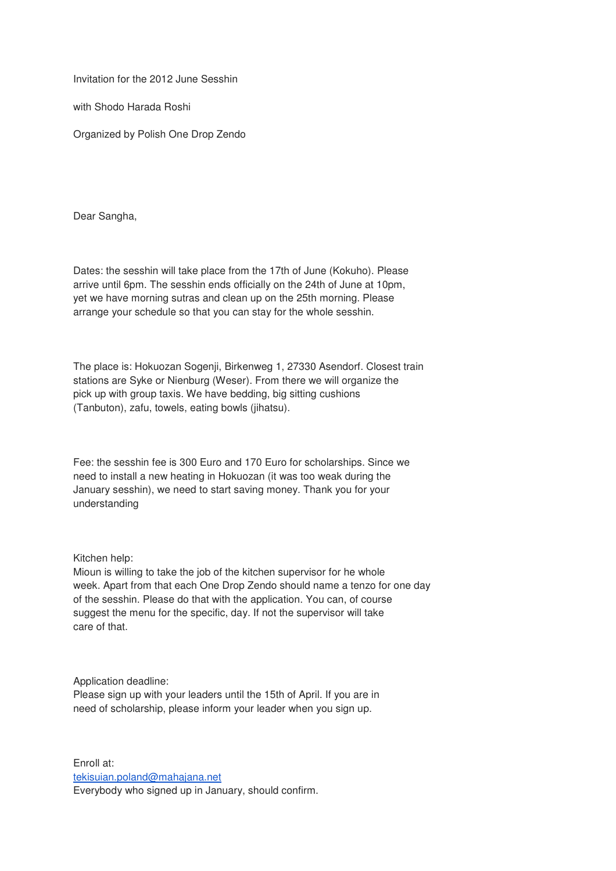Invitation for the 2012 June Sesshin

with Shodo Harada Roshi

Organized by Polish One Drop Zendo

Dear Sangha,

Dates: the sesshin will take place from the 17th of June (Kokuho). Please arrive until 6pm. The sesshin ends officially on the 24th of June at 10pm, yet we have morning sutras and clean up on the 25th morning. Please arrange your schedule so that you can stay for the whole sesshin.

The place is: Hokuozan Sogenji, Birkenweg 1, 27330 Asendorf. Closest train stations are Syke or Nienburg (Weser). From there we will organize the pick up with group taxis. We have bedding, big sitting cushions (Tanbuton), zafu, towels, eating bowls (jihatsu).

Fee: the sesshin fee is 300 Euro and 170 Euro for scholarships. Since we need to install a new heating in Hokuozan (it was too weak during the January sesshin), we need to start saving money. Thank you for your understanding

Kitchen help:

Mioun is willing to take the job of the kitchen supervisor for he whole week. Apart from that each One Drop Zendo should name a tenzo for one day of the sesshin. Please do that with the application. You can, of course suggest the menu for the specific, day. If not the supervisor will take care of that.

Application deadline:

Please sign up with your leaders until the 15th of April. If you are in need of scholarship, please inform your leader when you sign up.

Enroll at: tekisuian.poland@mahajana.net Everybody who signed up in January, should confirm.